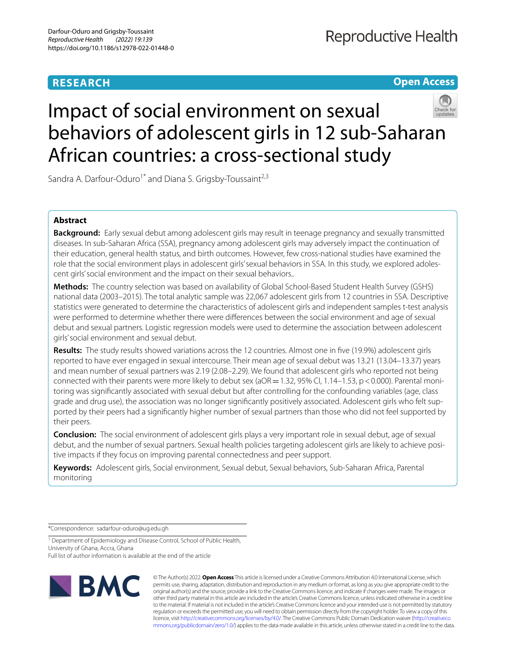# **RESEARCH**

# **Open Access**



# Impact of social environment on sexual behaviors of adolescent girls in 12 sub‑Saharan African countries: a cross‑sectional study

Sandra A. Darfour-Oduro<sup>1\*</sup> and Diana S. Grigsby-Toussaint<sup>2,3</sup>

# **Abstract**

**Background:** Early sexual debut among adolescent girls may result in teenage pregnancy and sexually transmitted diseases. In sub-Saharan Africa (SSA), pregnancy among adolescent girls may adversely impact the continuation of their education, general health status, and birth outcomes. However, few cross-national studies have examined the role that the social environment plays in adolescent girls' sexual behaviors in SSA. In this study, we explored adolescent girls' social environment and the impact on their sexual behaviors..

**Methods:** The country selection was based on availability of Global School-Based Student Health Survey (GSHS) national data (2003–2015). The total analytic sample was 22,067 adolescent girls from 12 countries in SSA. Descriptive statistics were generated to determine the characteristics of adolescent girls and independent samples t-test analysis were performed to determine whether there were diferences between the social environment and age of sexual debut and sexual partners. Logistic regression models were used to determine the association between adolescent girls' social environment and sexual debut.

**Results:** The study results showed variations across the 12 countries. Almost one in fve (19.9%) adolescent girls reported to have ever engaged in sexual intercourse. Their mean age of sexual debut was 13.21 (13.04–13.37) years and mean number of sexual partners was 2.19 (2.08–2.29). We found that adolescent girls who reported not being connected with their parents were more likely to debut sex (aOR = 1.32, 95% CI, 1.14–1.53, p < 0.000). Parental monitoring was signifcantly associated with sexual debut but after controlling for the confounding variables (age, class grade and drug use), the association was no longer significantly positively associated. Adolescent girls who felt supported by their peers had a signifcantly higher number of sexual partners than those who did not feel supported by their peers.

**Conclusion:** The social environment of adolescent girls plays a very important role in sexual debut, age of sexual debut, and the number of sexual partners. Sexual health policies targeting adolescent girls are likely to achieve positive impacts if they focus on improving parental connectedness and peer support.

**Keywords:** Adolescent girls, Social environment, Sexual debut, Sexual behaviors, Sub-Saharan Africa, Parental monitoring

\*Correspondence: sadarfour-oduro@ug.edu.gh

<sup>1</sup> Department of Epidemiology and Disease Control, School of Public Health, University of Ghana, Accra, Ghana

Full list of author information is available at the end of the article



© The Author(s) 2022. **Open Access** This article is licensed under a Creative Commons Attribution 4.0 International License, which permits use, sharing, adaptation, distribution and reproduction in any medium or format, as long as you give appropriate credit to the original author(s) and the source, provide a link to the Creative Commons licence, and indicate if changes were made. The images or other third party material in this article are included in the article's Creative Commons licence, unless indicated otherwise in a credit line to the material. If material is not included in the article's Creative Commons licence and your intended use is not permitted by statutory regulation or exceeds the permitted use, you will need to obtain permission directly from the copyright holder. To view a copy of this licence, visit [http://creativecommons.org/licenses/by/4.0/.](http://creativecommons.org/licenses/by/4.0/) The Creative Commons Public Domain Dedication waiver ([http://creativeco](http://creativecommons.org/publicdomain/zero/1.0/) [mmons.org/publicdomain/zero/1.0/](http://creativecommons.org/publicdomain/zero/1.0/)) applies to the data made available in this article, unless otherwise stated in a credit line to the data.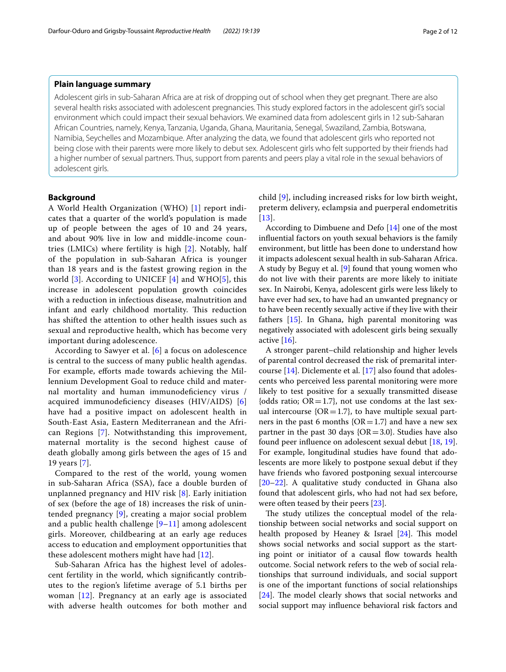# **Plain language summary**

Adolescent girls in sub-Saharan Africa are at risk of dropping out of school when they get pregnant. There are also several health risks associated with adolescent pregnancies. This study explored factors in the adolescent girl's social environment which could impact their sexual behaviors. We examined data from adolescent girls in 12 sub-Saharan African Countries, namely, Kenya, Tanzania, Uganda, Ghana, Mauritania, Senegal, Swaziland, Zambia, Botswana, Namibia, Seychelles and Mozambique. After analyzing the data, we found that adolescent girls who reported not being close with their parents were more likely to debut sex. Adolescent girls who felt supported by their friends had a higher number of sexual partners. Thus, support from parents and peers play a vital role in the sexual behaviors of adolescent girls.

# **Background**

A World Health Organization (WHO) [\[1](#page-11-0)] report indicates that a quarter of the world's population is made up of people between the ages of 10 and 24 years, and about 90% live in low and middle-income countries (LMICs) where fertility is high [[2\]](#page-11-1). Notably, half of the population in sub-Saharan Africa is younger than 18 years and is the fastest growing region in the world  $[3]$  $[3]$ . According to UNICEF  $[4]$  $[4]$  and WHO $[5]$  $[5]$ , this increase in adolescent population growth coincides with a reduction in infectious disease, malnutrition and infant and early childhood mortality. This reduction has shifted the attention to other health issues such as sexual and reproductive health, which has become very important during adolescence.

According to Sawyer et al. [\[6\]](#page-11-5) a focus on adolescence is central to the success of many public health agendas. For example, efforts made towards achieving the Millennium Development Goal to reduce child and maternal mortality and human immunodefciency virus / acquired immunodeficiency diseases (HIV/AIDS) [\[6](#page-11-5)] have had a positive impact on adolescent health in South-East Asia, Eastern Mediterranean and the African Regions [\[7\]](#page-11-6). Notwithstanding this improvement, maternal mortality is the second highest cause of death globally among girls between the ages of 15 and 19 years [[7\]](#page-11-6).

Compared to the rest of the world, young women in sub-Saharan Africa (SSA), face a double burden of unplanned pregnancy and HIV risk [[8\]](#page-11-7). Early initiation of sex (before the age of 18) increases the risk of unintended pregnancy [[9\]](#page-11-8), creating a major social problem and a public health challenge  $[9-11]$  $[9-11]$  $[9-11]$  $[9-11]$  $[9-11]$  among adolescent girls. Moreover, childbearing at an early age reduces access to education and employment opportunities that these adolescent mothers might have had [[12](#page-11-10)].

Sub-Saharan Africa has the highest level of adolescent fertility in the world, which signifcantly contributes to the region's lifetime average of 5.1 births per woman [[12\]](#page-11-10). Pregnancy at an early age is associated with adverse health outcomes for both mother and child [[9\]](#page-11-8), including increased risks for low birth weight, preterm delivery, eclampsia and puerperal endometritis [[13](#page-11-11)].

According to Dimbuene and Defo [\[14\]](#page-11-12) one of the most infuential factors on youth sexual behaviors is the family environment, but little has been done to understand how it impacts adolescent sexual health in sub-Saharan Africa. A study by Beguy et al. [\[9](#page-11-8)] found that young women who do not live with their parents are more likely to initiate sex. In Nairobi, Kenya, adolescent girls were less likely to have ever had sex, to have had an unwanted pregnancy or to have been recently sexually active if they live with their fathers [[15\]](#page-11-13). In Ghana, high parental monitoring was negatively associated with adolescent girls being sexually active  $[16]$ .

A stronger parent–child relationship and higher levels of parental control decreased the risk of premarital intercourse [\[14](#page-11-12)]. Diclemente et al. [[17\]](#page-11-15) also found that adolescents who perceived less parental monitoring were more likely to test positive for a sexually transmitted disease {odds ratio;  $OR = 1.7$ }, not use condoms at the last sexual intercourse  $\{OR=1.7\}$ , to have multiple sexual partners in the past 6 months  $\{OR = 1.7\}$  and have a new sex partner in the past 30 days  ${OR = 3.0}$ . Studies have also found peer infuence on adolescent sexual debut [[18](#page-11-16), [19](#page-11-17)]. For example, longitudinal studies have found that adolescents are more likely to postpone sexual debut if they have friends who favored postponing sexual intercourse [[20–](#page-11-18)[22\]](#page-11-19). A qualitative study conducted in Ghana also found that adolescent girls, who had not had sex before, were often teased by their peers [[23\]](#page-11-20).

The study utilizes the conceptual model of the relationship between social networks and social support on health proposed by Heaney & Israel  $[24]$  $[24]$  $[24]$ . This model shows social networks and social support as the starting point or initiator of a causal flow towards health outcome. Social network refers to the web of social relationships that surround individuals, and social support is one of the important functions of social relationships  $[24]$  $[24]$ . The model clearly shows that social networks and social support may infuence behavioral risk factors and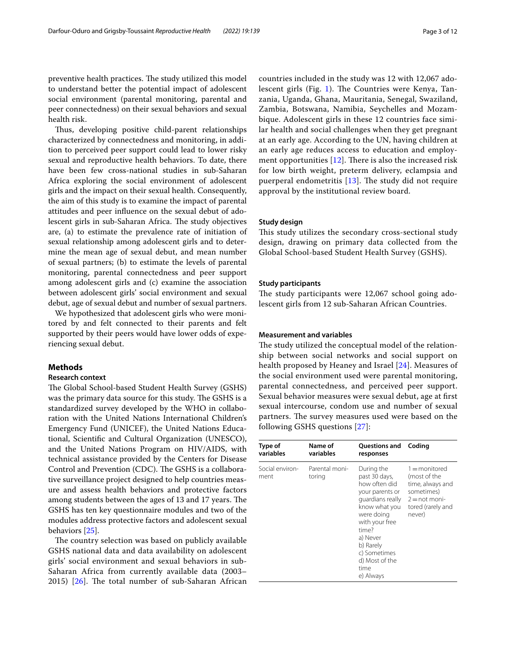preventive health practices. The study utilized this model to understand better the potential impact of adolescent social environment (parental monitoring, parental and peer connectedness) on their sexual behaviors and sexual health risk.

Thus, developing positive child-parent relationships characterized by connectedness and monitoring, in addition to perceived peer support could lead to lower risky sexual and reproductive health behaviors. To date, there have been few cross-national studies in sub-Saharan Africa exploring the social environment of adolescent girls and the impact on their sexual health. Consequently, the aim of this study is to examine the impact of parental attitudes and peer infuence on the sexual debut of adolescent girls in sub-Saharan Africa. The study objectives are, (a) to estimate the prevalence rate of initiation of sexual relationship among adolescent girls and to determine the mean age of sexual debut, and mean number of sexual partners; (b) to estimate the levels of parental monitoring, parental connectedness and peer support among adolescent girls and (c) examine the association between adolescent girls' social environment and sexual debut, age of sexual debut and number of sexual partners.

We hypothesized that adolescent girls who were monitored by and felt connected to their parents and felt supported by their peers would have lower odds of experiencing sexual debut.

#### **Methods**

#### **Research context**

The Global School-based Student Health Survey (GSHS) was the primary data source for this study. The GSHS is a standardized survey developed by the WHO in collaboration with the United Nations International Children's Emergency Fund (UNICEF), the United Nations Educational, Scientifc and Cultural Organization (UNESCO), and the United Nations Program on HIV/AIDS, with technical assistance provided by the Centers for Disease Control and Prevention (CDC). The GSHS is a collaborative surveillance project designed to help countries measure and assess health behaviors and protective factors among students between the ages of 13 and 17 years. The GSHS has ten key questionnaire modules and two of the modules address protective factors and adolescent sexual behaviors [[25](#page-11-22)].

The country selection was based on publicly available GSHS national data and data availability on adolescent girls' social environment and sexual behaviors in sub-Saharan Africa from currently available data (2003– 2015)  $[26]$  $[26]$  $[26]$ . The total number of sub-Saharan African countries included in the study was 12 with 12,067 ado-lescent girls (Fig. [1\)](#page-4-0). The Countries were Kenya, Tanzania, Uganda, Ghana, Mauritania, Senegal, Swaziland, Zambia, Botswana, Namibia, Seychelles and Mozambique. Adolescent girls in these 12 countries face similar health and social challenges when they get pregnant at an early age. According to the UN, having children at an early age reduces access to education and employment opportunities  $[12]$  $[12]$  $[12]$ . There is also the increased risk for low birth weight, preterm delivery, eclampsia and puerperal endometritis  $[13]$  $[13]$ . The study did not require approval by the institutional review board.

#### **Study design**

This study utilizes the secondary cross-sectional study design, drawing on primary data collected from the Global School-based Student Health Survey (GSHS).

#### **Study participants**

The study participants were 12,067 school going adolescent girls from 12 sub-Saharan African Countries.

#### **Measurement and variables**

The study utilized the conceptual model of the relationship between social networks and social support on health proposed by Heaney and Israel [\[24](#page-11-21)]. Measures of the social environment used were parental monitoring, parental connectedness, and perceived peer support. Sexual behavior measures were sexual debut, age at frst sexual intercourse, condom use and number of sexual partners. The survey measures used were based on the following GSHS questions [[27\]](#page-11-24):

| Type of                 | Name of                  | Questions and Coding                                                                                                                                                                                                          |                                                                                                                    |
|-------------------------|--------------------------|-------------------------------------------------------------------------------------------------------------------------------------------------------------------------------------------------------------------------------|--------------------------------------------------------------------------------------------------------------------|
| variables               | variables                | responses                                                                                                                                                                                                                     |                                                                                                                    |
| Social environ-<br>ment | Parental moni-<br>toring | During the<br>past 30 days,<br>how often did<br>your parents or<br>quardians really<br>know what you<br>were doing<br>with your free<br>time?<br>a) Never<br>b) Rarely<br>c) Sometimes<br>d) Most of the<br>time<br>e) Always | $1 =$ monitored<br>(most of the<br>time, always and<br>sometimes)<br>$2 = not moni$<br>tored (rarely and<br>never) |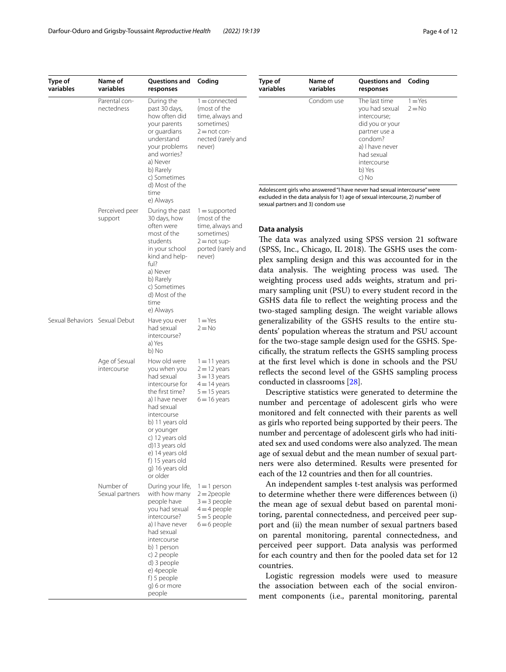| Type of<br>variables          | Name of<br>variables         | Questions and<br>responses                                                                                                                                                                                                                                                  | Coding                                                                                                              |
|-------------------------------|------------------------------|-----------------------------------------------------------------------------------------------------------------------------------------------------------------------------------------------------------------------------------------------------------------------------|---------------------------------------------------------------------------------------------------------------------|
|                               | Parental con-<br>nectedness  | During the<br>past 30 days,<br>how often did<br>your parents<br>or quardians<br>understand<br>your problems<br>and worries?<br>a) Never<br>b) Rarely<br>c) Sometimes<br>d) Most of the<br>time<br>e) Always                                                                 | $1 =$ connected<br>(most of the<br>time, always and<br>sometimes)<br>$2 = not$ con-<br>nected (rarely and<br>never) |
|                               | Perceived peer<br>support    | During the past<br>30 days, how<br>often were<br>most of the<br>students<br>in your school<br>kind and help-<br>ful?<br>a) Never<br>b) Rarely<br>c) Sometimes<br>d) Most of the<br>time<br>e) Always                                                                        | $1 =$ supported<br>(most of the<br>time, always and<br>sometimes)<br>$2 = not sup-$<br>ported (rarely and<br>never) |
| Sexual Behaviors Sexual Debut |                              | Have you ever<br>had sexual<br>intercourse?<br>a) Yes<br>b) No                                                                                                                                                                                                              | $1 = Yes$<br>$2 = No$                                                                                               |
|                               | Age of Sexual<br>intercourse | How old were<br>you when you<br>had sexual<br>intercourse for<br>the first time?<br>a) I have never<br>had sexual<br>intercourse<br>b) 11 years old<br>or younger<br>c) 12 years old<br>d)13 years old<br>e) 14 years old<br>f) 15 years old<br>g) 16 years old<br>or older | $1 = 11$ years<br>$2 = 12$ years<br>$3 = 13$ years<br>$4 = 14$ years<br>$5 = 15$ years<br>$6 = 16$ years            |
|                               | Number of<br>Sexual partners | During your life,<br>with how many<br>people have<br>you had sexual<br>intercourse?<br>a) I have never<br>had sexual<br>intercourse<br>b) 1 person<br>c) 2 people<br>d) 3 people<br>e) 4people<br>f) 5 people<br>g) 6 or more<br>people                                     | $1 = 1$ person<br>$2 = 2$ people<br>$3 = 3$ people<br>$4=4$ people<br>$5 = 5$ people<br>$6 = 6$ people              |

| Type of   | Name of    | Questions and                                                                                                                                                     | Coding                |
|-----------|------------|-------------------------------------------------------------------------------------------------------------------------------------------------------------------|-----------------------|
| variables | variables  | responses                                                                                                                                                         |                       |
|           | Condom use | The last time<br>you had sexual<br>intercourse;<br>did you or your<br>partner use a<br>condom?<br>a) I have never<br>had sexual<br>intercourse<br>b) Yes<br>c) No | $1 = Yes$<br>$2 = No$ |

Adolescent girls who answered "I have never had sexual intercourse" were excluded in the data analysis for 1) age of sexual intercourse, 2) number of sexual partners and 3) condom use

#### **Data analysis**

The data was analyzed using SPSS version 21 software (SPSS, Inc., Chicago, IL 2018). The GSHS uses the complex sampling design and this was accounted for in the data analysis. The weighting process was used. The weighting process used adds weights, stratum and primary sampling unit (PSU) to every student record in the GSHS data fle to refect the weighting process and the two-staged sampling design. The weight variable allows generalizability of the GSHS results to the entire students' population whereas the stratum and PSU account for the two-stage sample design used for the GSHS. Specifcally, the stratum refects the GSHS sampling process at the frst level which is done in schools and the PSU reflects the second level of the GSHS sampling process conducted in classrooms [\[28](#page-11-25)].

Descriptive statistics were generated to determine the number and percentage of adolescent girls who were monitored and felt connected with their parents as well as girls who reported being supported by their peers. The number and percentage of adolescent girls who had initiated sex and used condoms were also analyzed. The mean age of sexual debut and the mean number of sexual partners were also determined. Results were presented for each of the 12 countries and then for all countries.

An independent samples t-test analysis was performed to determine whether there were diferences between (i) the mean age of sexual debut based on parental monitoring, parental connectedness, and perceived peer support and (ii) the mean number of sexual partners based on parental monitoring, parental connectedness, and perceived peer support. Data analysis was performed for each country and then for the pooled data set for 12 countries.

Logistic regression models were used to measure the association between each of the social environment components (i.e., parental monitoring, parental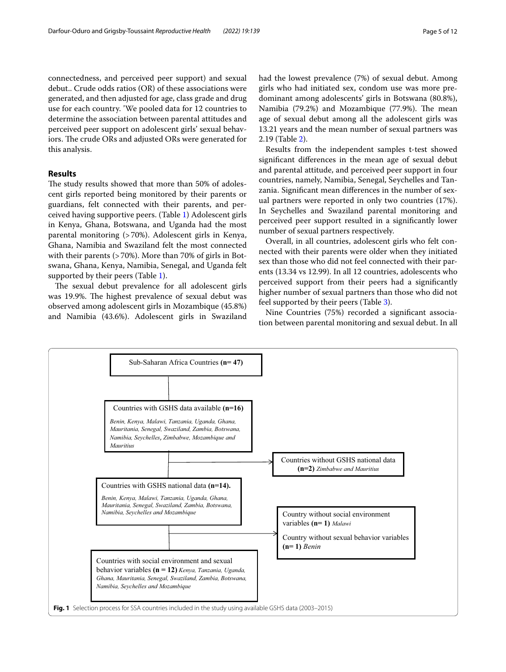connectedness, and perceived peer support) and sexual debut.. Crude odds ratios (OR) of these associations were generated, and then adjusted for age, class grade and drug use for each country. 'We pooled data for 12 countries to determine the association between parental attitudes and perceived peer support on adolescent girls' sexual behaviors. The crude ORs and adjusted ORs were generated for this analysis.

# **Results**

The study results showed that more than 50% of adolescent girls reported being monitored by their parents or guardians, felt connected with their parents, and perceived having supportive peers. (Table [1\)](#page-5-0) Adolescent girls in Kenya, Ghana, Botswana, and Uganda had the most parental monitoring (>70%). Adolescent girls in Kenya, Ghana, Namibia and Swaziland felt the most connected with their parents (>70%). More than 70% of girls in Botswana, Ghana, Kenya, Namibia, Senegal, and Uganda felt supported by their peers (Table [1\)](#page-5-0).

The sexual debut prevalence for all adolescent girls was 19.9%. The highest prevalence of sexual debut was observed among adolescent girls in Mozambique (45.8%) and Namibia (43.6%). Adolescent girls in Swaziland had the lowest prevalence (7%) of sexual debut. Among girls who had initiated sex, condom use was more predominant among adolescents' girls in Botswana (80.8%), Namibia (79.2%) and Mozambique (77.9%). The mean age of sexual debut among all the adolescent girls was 13.21 years and the mean number of sexual partners was 2.19 (Table [2\)](#page-5-1).

Results from the independent samples t-test showed signifcant diferences in the mean age of sexual debut and parental attitude, and perceived peer support in four countries, namely, Namibia, Senegal, Seychelles and Tanzania. Signifcant mean diferences in the number of sexual partners were reported in only two countries (17%). In Seychelles and Swaziland parental monitoring and perceived peer support resulted in a signifcantly lower number of sexual partners respectively.

Overall, in all countries, adolescent girls who felt connected with their parents were older when they initiated sex than those who did not feel connected with their parents (13.34 vs 12.99). In all 12 countries, adolescents who perceived support from their peers had a signifcantly higher number of sexual partners than those who did not feel supported by their peers (Table [3](#page-6-0)).

Nine Countries (75%) recorded a signifcant association between parental monitoring and sexual debut. In all

<span id="page-4-0"></span>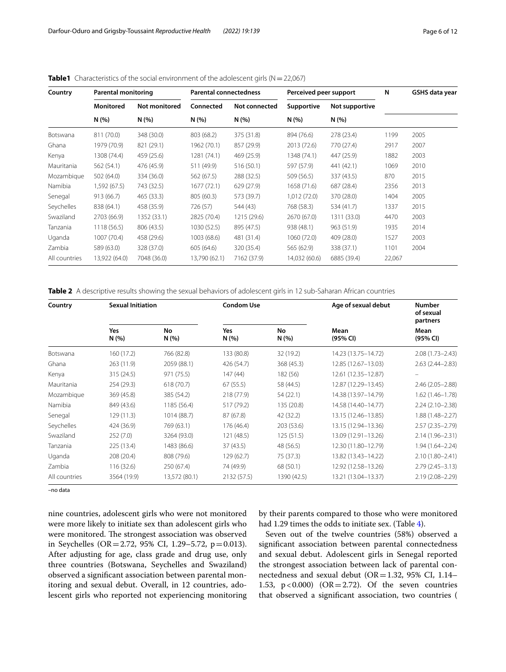| Country         | <b>Parental monitoring</b> |                      | <b>Parental connectedness</b> |               | Perceived peer support |                | N      | GSHS data year |
|-----------------|----------------------------|----------------------|-------------------------------|---------------|------------------------|----------------|--------|----------------|
|                 | <b>Monitored</b>           | <b>Not monitored</b> | Connected                     | Not connected | Supportive             | Not supportive |        |                |
|                 | N(%)                       | N(%)                 | N(%)                          | N(% )         | N(%)                   | N(%            |        |                |
| <b>Botswana</b> | 811 (70.0)                 | 348 (30.0)           | 803 (68.2)                    | 375 (31.8)    | 894 (76.6)             | 278 (23.4)     | 1199   | 2005           |
| Ghana           | 1979 (70.9)                | 821 (29.1)           | 1962 (70.1)                   | 857 (29.9)    | 2013 (72.6)            | 770 (27.4)     | 2917   | 2007           |
| Kenya           | 1308 (74.4)                | 459 (25.6)           | 1281 (74.1)                   | 469 (25.9)    | 1348 (74.1)            | 447 (25.9)     | 1882   | 2003           |
| Mauritania      | 562 (54.1)                 | 476 (45.9)           | 511 (49.9)                    | 516 (50.1)    | 597 (57.9)             | 441 (42.1)     | 1069   | 2010           |
| Mozambique      | 502 (64.0)                 | 334 (36.0)           | 562 (67.5)                    | 288 (32.5)    | 509 (56.5)             | 337 (43.5)     | 870    | 2015           |
| Namibia         | 1,592 (67.5)               | 743 (32.5)           | 1677(72.1)                    | 629(27.9)     | 1658 (71.6)            | 687 (28.4)     | 2356   | 2013           |
| Senegal         | 913 (66.7)                 | 465 (33.3)           | 805 (60.3)                    | 573 (39.7)    | 1,012(72.0)            | 370 (28.0)     | 1404   | 2005           |
| Seychelles      | 838 (64.1)                 | 458 (35.9)           | 726 (57)                      | 544 (43)      | 768 (58.3)             | 534 (41.7)     | 1337   | 2015           |
| Swaziland       | 2703 (66.9)                | 1352 (33.1)          | 2825 (70.4)                   | 1215 (29.6)   | 2670 (67.0)            | 1311 (33.0)    | 4470   | 2003           |
| Tanzania        | 1118 (56.5)                | 806 (43.5)           | 1030 (52.5)                   | 895 (47.5)    | 938 (48.1)             | 963 (51.9)     | 1935   | 2014           |
| Uganda          | 1007 (70.4)                | 458 (29.6)           | 1003 (68.6)                   | 481 (31.4)    | 1060 (72.0)            | 409 (28.0)     | 1527   | 2003           |
| Zambia          | 589 (63.0)                 | 328 (37.0)           | 605 (64.6)                    | 320 (35.4)    | 565 (62.9)             | 338 (37.1)     | 1101   | 2004           |
| All countries   | 13,922 (64.0)              | 7048 (36.0)          | 13,790 (62.1)                 | 7162 (37.9)   | 14,032 (60.6)          | 6885 (39.4)    | 22,067 |                |

<span id="page-5-0"></span>**Table1** Characteristics of the social environment of the adolescent girls (N = 22,067)

<span id="page-5-1"></span>**Table 2** A descriptive results showing the sexual behaviors of adolescent girls in 12 sub-Saharan African countries

| Country       | <b>Sexual Initiation</b> |               | <b>Condom Use</b> |             | Age of sexual debut   | <b>Number</b><br>of sexual<br>partners |  |
|---------------|--------------------------|---------------|-------------------|-------------|-----------------------|----------------------------------------|--|
|               | Yes<br>N(%)              | No<br>N(%)    | Yes<br>N(%)       | No<br>N(%   | Mean<br>(95% CI)      | Mean<br>(95% CI)                       |  |
| Botswana      | 160 (17.2)               | 766 (82.8)    | 133 (80.8)        | 32 (19.2)   | 14.23 (13.75 - 14.72) | $2.08(1.73 - 2.43)$                    |  |
| Ghana         | 263(11.9)                | 2059 (88.1)   | 426 (54.7)        | 368 (45.3)  | 12.85 (12.67-13.03)   | $2.63(2.44 - 2.83)$                    |  |
| Kenya         | 315(24.5)                | 971 (75.5)    | 147(44)           | 182 (56)    | 12.61 (12.35-12.87)   |                                        |  |
| Mauritania    | 254 (29.3)               | 618 (70.7)    | 67(55.5)          | 58 (44.5)   | 12.87 (12.29-13.45)   | $2.46(2.05 - 2.88)$                    |  |
| Mozambique    | 369 (45.8)               | 385 (54.2)    | 218 (77.9)        | 54 (22.1)   | 14.38 (13.97-14.79)   | $1.62(1.46 - 1.78)$                    |  |
| Namibia       | 849 (43.6)               | 1185 (56.4)   | 517 (79.2)        | 135 (20.8)  | 14.58 (14.40-14.77)   | $2.24(2.10-2.38)$                      |  |
| Senegal       | 129(11.3)                | 1014 (88.7)   | 87 (67.8)         | 42 (32.2)   | 13.15 (12.46-13.85)   | $1.88(1.48 - 2.27)$                    |  |
| Seychelles    | 424 (36.9)               | 769 (63.1)    | 176 (46.4)        | 203 (53.6)  | 13.15 (12.94-13.36)   | $2.57(2.35 - 2.79)$                    |  |
| Swaziland     | 252(7.0)                 | 3264 (93.0)   | 121 (48.5)        | 125(51.5)   | 13.09 (12.91-13.26)   | $2.14(1.96 - 2.31)$                    |  |
| Tanzania      | 225 (13.4)               | 1483 (86.6)   | 37(43.5)          | 48 (56.5)   | 12.30 (11.80-12.79)   | $1.94(1.64 - 2.24)$                    |  |
| Uganda        | 208 (20.4)               | 808 (79.6)    | 129(62.7)         | 75 (37.3)   | 13.82 (13.43-14.22)   | $2.10(1.80 - 2.41)$                    |  |
| Zambia        | 116 (32.6)               | 250 (67.4)    | 74 (49.9)         | 68 (50.1)   | 12.92 (12.58-13.26)   | $2.79(2.45 - 3.13)$                    |  |
| All countries | 3564 (19.9)              | 13,572 (80.1) | 2132 (57.5)       | 1390 (42.5) | 13.21 (13.04-13.37)   | 2.19 (2.08-2.29)                       |  |

–no data

nine countries, adolescent girls who were not monitored were more likely to initiate sex than adolescent girls who were monitored. The strongest association was observed in Seychelles (OR=2.72, 95% CI, 1.29–5.72, p=0.013). After adjusting for age, class grade and drug use, only three countries (Botswana, Seychelles and Swaziland) observed a signifcant association between parental monitoring and sexual debut. Overall, in 12 countries, adolescent girls who reported not experiencing monitoring by their parents compared to those who were monitored had 1.29 times the odds to initiate sex. (Table [4\)](#page-8-0).

Seven out of the twelve countries (58%) observed a signifcant association between parental connectedness and sexual debut. Adolescent girls in Senegal reported the strongest association between lack of parental connectedness and sexual debut ( $OR = 1.32$ , 95% CI, 1.14– 1.53,  $p < 0.000$ ) (OR = 2.72). Of the seven countries that observed a signifcant association, two countries (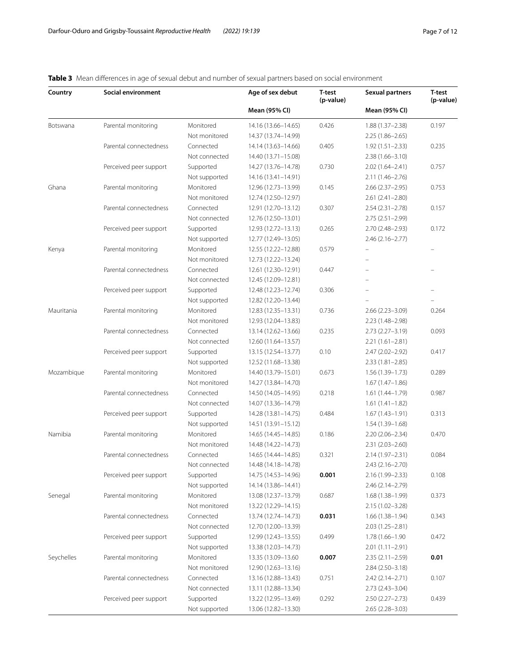# <span id="page-6-0"></span>**Table 3** Mean diferences in age of sexual debut and number of sexual partners based on social environment

| Country    | Social environment     |               | Age of sex debut    | <b>T-test</b><br>(p-value) | <b>Sexual partners</b>   | T-test<br>(p-value) |
|------------|------------------------|---------------|---------------------|----------------------------|--------------------------|---------------------|
|            |                        |               | Mean (95% CI)       |                            | Mean (95% CI)            |                     |
| Botswana   | Parental monitoring    | Monitored     | 14.16 (13.66-14.65) | 0.426                      | $1.88(1.37 - 2.38)$      | 0.197               |
|            |                        | Not monitored | 14.37 (13.74-14.99) |                            | $2.25(1.86 - 2.65)$      |                     |
|            | Parental connectedness | Connected     | 14.14 (13.63–14.66) | 0.405                      | $1.92(1.51 - 2.33)$      | 0.235               |
|            |                        | Not connected | 14.40 (13.71-15.08) |                            | $2.38(1.66 - 3.10)$      |                     |
|            | Perceived peer support | Supported     | 14.27 (13.76-14.78) | 0.730                      | $2.02(1.64 - 2.41)$      | 0.757               |
|            |                        | Not supported | 14.16 (13.41-14.91) |                            | 2.11 (1.46-2.76)         |                     |
| Ghana      | Parental monitoring    | Monitored     | 12.96 (12.73-13.99) | 0.145                      | $2.66$ ( $2.37 - 2.95$ ) | 0.753               |
|            |                        | Not monitored | 12.74 (12.50-12.97) |                            | $2.61(2.41 - 2.80)$      |                     |
|            | Parental connectedness | Connected     | 12.91 (12.70-13.12) | 0.307                      | $2.54(2.31 - 2.78)$      | 0.157               |
|            |                        | Not connected | 12.76 (12.50-13.01) |                            | $2.75(2.51 - 2.99)$      |                     |
|            | Perceived peer support | Supported     | 12.93 (12.72-13.13) | 0.265                      | 2.70 (2.48-2.93)         | 0.172               |
|            |                        | Not supported | 12.77 (12.49-13.05) |                            | $2.46(2.16 - 2.77)$      |                     |
| Kenya      | Parental monitoring    | Monitored     | 12.55 (12.22-12.88) | 0.579                      | $\overline{\phantom{m}}$ |                     |
|            |                        | Not monitored | 12.73 (12.22-13.24) |                            | ÷                        |                     |
|            | Parental connectedness | Connected     | 12.61 (12.30-12.91) | 0.447                      |                          |                     |
|            |                        | Not connected | 12.45 (12.09-12.81) |                            | ÷                        |                     |
|            | Perceived peer support | Supported     | 12.48 (12.23-12.74) | 0.306                      |                          |                     |
|            |                        | Not supported | 12.82 (12.20-13.44) |                            |                          |                     |
| Mauritania | Parental monitoring    | Monitored     | 12.83 (12.35-13.31) | 0.736                      | $2.66(2.23 - 3.09)$      | 0.264               |
|            |                        | Not monitored | 12.93 (12.04-13.83) |                            | 2.23 (1.48-2.98)         |                     |
|            | Parental connectedness | Connected     | 13.14 (12.62-13.66) | 0.235                      | $2.73(2.27 - 3.19)$      | 0.093               |
|            |                        | Not connected | 12.60 (11.64-13.57) |                            | $2.21(1.61 - 2.81)$      |                     |
|            | Perceived peer support | Supported     | 13.15 (12.54-13.77) | 0.10                       | $2.47(2.02 - 2.92)$      | 0.417               |
|            |                        | Not supported | 12.52 (11.68-13.38) |                            | $2.33(1.81 - 2.85)$      |                     |
| Mozambique | Parental monitoring    | Monitored     | 14.40 (13.79-15.01) | 0.673                      | $1.56(1.39 - 1.73)$      | 0.289               |
|            |                        | Not monitored | 14.27 (13.84-14.70) |                            | $1.67(1.47-1.86)$        |                     |
|            | Parental connectedness | Connected     | 14.50 (14.05-14.95) | 0.218                      | $1.61(1.44 - 1.79)$      | 0.987               |
|            |                        | Not connected | 14.07 (13.36-14.79) |                            | $1.61(1.41-1.82)$        |                     |
|            | Perceived peer support | Supported     | 14.28 (13.81-14.75) | 0.484                      | $1.67(1.43 - 1.91)$      | 0.313               |
|            |                        | Not supported | 14.51 (13.91-15.12) |                            | $1.54(1.39-1.68)$        |                     |
| Namibia    | Parental monitoring    | Monitored     | 14.65 (14.45-14.85) | 0.186                      | $2.20(2.06 - 2.34)$      | 0.470               |
|            |                        | Not monitored | 14.48 (14.22–14.73) |                            | $2.31(2.03 - 2.60)$      |                     |
|            | Parental connectedness | Connected     | 14.65 (14.44-14.85) | 0.321                      | 2.14 (1.97-2.31)         | 0.084               |
|            |                        | Not connected | 14.48 (14.18–14.78) |                            | $2.43(2.16 - 2.70)$      |                     |
|            | Perceived peer support | Supported     | 14.75 (14.53-14.96) | 0.001                      | 2.16 (1.99-2.33)         | 0.108               |
|            |                        | Not supported | 14.14 (13.86-14.41) |                            | 2.46 (2.14-2.79)         |                     |
| Senegal    | Parental monitoring    | Monitored     | 13.08 (12.37-13.79) | 0.687                      | $1.68(1.38 - 1.99)$      | 0.373               |
|            |                        | Not monitored | 13.22 (12.29-14.15) |                            | 2.15 (1.02-3.28)         |                     |
|            | Parental connectedness | Connected     | 13.74 (12.74-14.73) | 0.031                      | $1.66(1.38 - 1.94)$      | 0.343               |
|            |                        | Not connected | 12.70 (12.00-13.39) |                            | $2.03(1.25 - 2.81)$      |                     |
|            | Perceived peer support | Supported     | 12.99 (12.43-13.55) | 0.499                      | 1.78 (1.66-1.90          | 0.472               |
|            |                        | Not supported | 13.38 (12.03-14.73) |                            | $2.01(1.11 - 2.91)$      |                     |
| Seychelles | Parental monitoring    | Monitored     | 13.35 (13.09-13.60) | 0.007                      | $2.35(2.11 - 2.59)$      | 0.01                |
|            |                        | Not monitored | 12.90 (12.63-13.16) |                            | $2.84(2.50-3.18)$        |                     |
|            | Parental connectedness | Connected     | 13.16 (12.88–13.43) | 0.751                      | $2.42(2.14 - 2.71)$      | 0.107               |
|            |                        | Not connected | 13.11 (12.88-13.34) |                            | $2.73(2.43 - 3.04)$      |                     |
|            | Perceived peer support | Supported     | 13.22 (12.95-13.49) | 0.292                      | $2.50(2.27 - 2.73)$      | 0.439               |
|            |                        | Not supported | 13.06 (12.82–13.30) |                            | $2.65(2.28 - 3.03)$      |                     |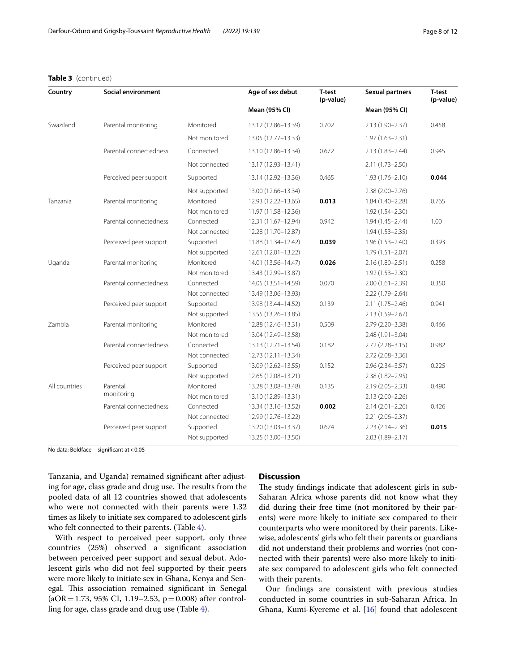### **Table 3** (continued)

| Country       | Social environment     |                                             | Age of sex debut                                                  | T-test<br>(p-value) | <b>Sexual partners</b>                                            | <b>T-test</b><br>(p-value) |
|---------------|------------------------|---------------------------------------------|-------------------------------------------------------------------|---------------------|-------------------------------------------------------------------|----------------------------|
|               |                        |                                             | Mean (95% CI)                                                     |                     | Mean (95% CI)                                                     |                            |
| Swaziland     | Parental monitoring    | Monitored                                   | 13.12 (12.86-13.39)                                               | 0.702               | $2.13(1.90 - 2.37)$                                               | 0.458                      |
|               |                        | Not monitored                               | 13.05 (12.77-13.33)                                               |                     | $1.97(1.63 - 2.31)$                                               |                            |
|               | Parental connectedness | Connected                                   | 13.10 (12.86-13.34)                                               | 0.672               | $2.13(1.83 - 2.44)$                                               | 0.945                      |
|               |                        | Not connected                               | 13.17 (12.93-13.41)                                               |                     | $2.11(1.73 - 2.50)$                                               |                            |
|               | Perceived peer support | Supported                                   | 13.14 (12.92-13.36)                                               | 0.465               | $1.93(1.76 - 2.10)$                                               | 0.044                      |
| Tanzania      | Parental monitoring    | Not supported<br>Monitored                  | 13.00 (12.66-13.34)<br>12.93 (12.22-13.65)                        | 0.013               | $2.38(2.00 - 2.76)$<br>$1.84(1.40 - 2.28)$                        | 0.765                      |
|               |                        | Not monitored                               | 11.97 (11.58-12.36)                                               |                     | 1.92 (1.54-2.30)                                                  |                            |
|               | Parental connectedness | Connected<br>Not connected                  | 12.31 (11.67-12.94)<br>12.28 (11.70-12.87)                        | 0.942               | $1.94(1.45 - 2.44)$<br>$1.94(1.53 - 2.35)$                        | 1.00                       |
|               | Perceived peer support | Supported                                   | 11.88 (11.34-12.42)                                               | 0.039               | $1.96(1.53 - 2.40)$                                               | 0.393                      |
| Uganda        | Parental monitoring    | Not supported<br>Monitored                  | 12.61 (12.01-13.22)<br>14.01 (13.56-14.47)                        | 0.026               | $1.79(1.51 - 2.07)$<br>$2.16(1.80 - 2.51)$                        | 0.258                      |
|               | Parental connectedness | Not monitored<br>Connected<br>Not connected | 13.43 (12.99-13.87)<br>14.05 (13.51-14.59)<br>13.49 (13.06-13.93) | 0.070               | $1.92(1.53 - 2.30)$<br>$2.00(1.61 - 2.39)$<br>$2.22(1.79 - 2.64)$ | 0.350                      |
|               | Perceived peer support | Supported<br>Not supported                  | 13.98 (13.44-14.52)<br>13.55 (13.26-13.85)                        | 0.139               | $2.11(1.75 - 2.46)$<br>$2.13(1.59 - 2.67)$                        | 0.941                      |
| Zambia        | Parental monitoring    | Monitored<br>Not monitored                  | 12.88 (12.46-13.31)<br>13.04 (12.49-13.58)                        | 0.509               | $2.79(2.20 - 3.38)$<br>2.48 (1.91-3.04)                           | 0.466                      |
|               | Parental connectedness | Connected<br>Not connected                  | 13.13 (12.71-13.54)<br>12.73 (12.11-13.34)                        | 0.182               | $2.72(2.28 - 3.15)$<br>$2.72(2.08 - 3.36)$                        | 0.982                      |
|               | Perceived peer support | Supported<br>Not supported                  | 13.09 (12.62-13.55)<br>12.65 (12.08-13.21)                        | 0.152               | $2.96(2.34 - 3.57)$<br>$2.38(1.82 - 2.95)$                        | 0.225                      |
| All countries | Parental<br>monitoring | Monitored<br>Not monitored                  | 13.28 (13.08-13.48)<br>13.10 (12.89-13.31)                        | 0.135               | $2.19(2.05 - 2.33)$<br>$2.13(2.00 - 2.26)$                        | 0.490                      |
|               | Parental connectedness | Connected<br>Not connected                  | 13.34 (13.16-13.52)<br>12.99 (12.76-13.22)                        | 0.002               | $2.14(2.01 - 2.26)$<br>$2.21(2.06 - 2.37)$                        | 0.426                      |
|               | Perceived peer support | Supported<br>Not supported                  | 13.20 (13.03-13.37)<br>13.25 (13.00-13.50)                        | 0.674               | $2.23(2.14 - 2.36)$<br>2.03 (1.89-2.17)                           | 0.015                      |

No data; Boldface—signifcant at<0.05

Tanzania, and Uganda) remained signifcant after adjusting for age, class grade and drug use. The results from the pooled data of all 12 countries showed that adolescents who were not connected with their parents were 1.32 times as likely to initiate sex compared to adolescent girls who felt connected to their parents. (Table [4](#page-8-0)).

With respect to perceived peer support, only three countries (25%) observed a signifcant association between perceived peer support and sexual debut. Adolescent girls who did not feel supported by their peers were more likely to initiate sex in Ghana, Kenya and Senegal. This association remained significant in Senegal  $(aOR = 1.73, 95\% \text{ CI}, 1.19-2.53, p=0.008)$  after controlling for age, class grade and drug use (Table [4\)](#page-8-0).

# **Discussion**

The study findings indicate that adolescent girls in sub-Saharan Africa whose parents did not know what they did during their free time (not monitored by their parents) were more likely to initiate sex compared to their counterparts who were monitored by their parents. Likewise, adolescents' girls who felt their parents or guardians did not understand their problems and worries (not connected with their parents) were also more likely to initiate sex compared to adolescent girls who felt connected with their parents.

Our fndings are consistent with previous studies conducted in some countries in sub-Saharan Africa. In Ghana, Kumi-Kyereme et al. [\[16\]](#page-11-14) found that adolescent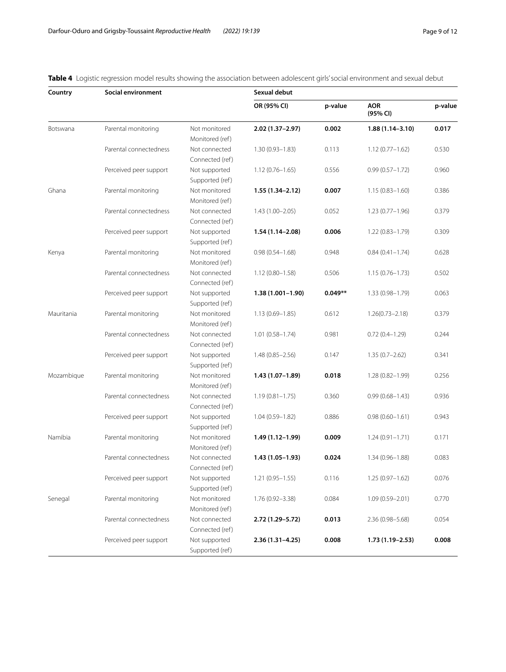| Country    | Social environment     | Sexual debut    |                      |           |                        |         |
|------------|------------------------|-----------------|----------------------|-----------|------------------------|---------|
|            |                        |                 | OR (95% CI)          | p-value   | <b>AOR</b><br>(95% CI) | p-value |
| Botswana   | Parental monitoring    | Not monitored   | $2.02(1.37 - 2.97)$  | 0.002     | $1.88(1.14 - 3.10)$    | 0.017   |
|            |                        | Monitored (ref) |                      |           |                        |         |
|            | Parental connectedness | Not connected   | $1.30(0.93 - 1.83)$  | 0.113     | $1.12(0.77 - 1.62)$    | 0.530   |
|            |                        | Connected (ref) |                      |           |                        |         |
|            | Perceived peer support | Not supported   | $1.12(0.76 - 1.65)$  | 0.556     | $0.99(0.57 - 1.72)$    | 0.960   |
|            |                        | Supported (ref) |                      |           |                        |         |
| Ghana      | Parental monitoring    | Not monitored   | 1.55 (1.34-2.12)     | 0.007     | $1.15(0.83 - 1.60)$    | 0.386   |
|            |                        | Monitored (ref) |                      |           |                        |         |
|            | Parental connectedness | Not connected   | $1.43(1.00 - 2.05)$  | 0.052     | $1.23(0.77 - 1.96)$    | 0.379   |
|            |                        | Connected (ref) |                      |           |                        |         |
|            | Perceived peer support | Not supported   | $1.54(1.14 - 2.08)$  | 0.006     | $1.22(0.83 - 1.79)$    | 0.309   |
|            |                        | Supported (ref) |                      |           |                        |         |
| Kenya      | Parental monitoring    | Not monitored   | $0.98(0.54 - 1.68)$  | 0.948     | $0.84(0.41 - 1.74)$    | 0.628   |
|            |                        | Monitored (ref) |                      |           |                        |         |
|            | Parental connectedness | Not connected   | $1.12(0.80 - 1.58)$  | 0.506     | $1.15(0.76 - 1.73)$    | 0.502   |
|            |                        | Connected (ref) |                      |           |                        |         |
|            | Perceived peer support | Not supported   | $1.38(1.001 - 1.90)$ | $0.049**$ | 1.33 (0.98-1.79)       | 0.063   |
|            |                        | Supported (ref) |                      |           |                        |         |
| Mauritania | Parental monitoring    | Not monitored   | $1.13(0.69 - 1.85)$  | 0.612     | $1.26(0.73 - 2.18)$    | 0.379   |
|            |                        | Monitored (ref) |                      |           |                        |         |
|            | Parental connectedness | Not connected   | $1.01(0.58 - 1.74)$  | 0.981     | $0.72(0.4 - 1.29)$     | 0.244   |
|            |                        | Connected (ref) |                      |           |                        |         |
|            | Perceived peer support | Not supported   | $1.48(0.85 - 2.56)$  | 0.147     | $1.35(0.7-2.62)$       | 0.341   |
|            |                        | Supported (ref) |                      |           |                        |         |
| Mozambique | Parental monitoring    | Not monitored   | 1.43 (1.07-1.89)     | 0.018     | $1.28(0.82 - 1.99)$    | 0.256   |
|            |                        | Monitored (ref) |                      |           |                        |         |
|            | Parental connectedness | Not connected   | $1.19(0.81 - 1.75)$  | 0.360     | $0.99(0.68 - 1.43)$    | 0.936   |
|            |                        | Connected (ref) |                      |           |                        |         |
|            | Perceived peer support | Not supported   | $1.04(0.59 - 1.82)$  | 0.886     | $0.98(0.60 - 1.61)$    | 0.943   |
|            |                        | Supported (ref) |                      |           |                        |         |
| Namibia    | Parental monitoring    | Not monitored   | 1.49 (1.12–1.99)     | 0.009     | $1.24(0.91 - 1.71)$    | 0.171   |
|            |                        | Monitored (ref) |                      |           |                        |         |
|            | Parental connectedness | Not connected   | 1.43 (1.05-1.93)     | 0.024     | $1.34(0.96 - 1.88)$    | 0.083   |
|            |                        | Connected (ref) |                      |           |                        |         |
|            | Perceived peer support | Not supported   | $1.21(0.95 - 1.55)$  | 0.116     | $1.25(0.97 - 1.62)$    | 0.076   |
|            |                        | Supported (ref) |                      |           |                        |         |
| Senegal    | Parental monitoring    | Not monitored   | 1.76 (0.92-3.38)     | 0.084     | $1.09(0.59 - 2.01)$    | 0.770   |
|            |                        | Monitored (ref) |                      |           |                        |         |
|            | Parental connectedness | Not connected   | 2.72 (1.29–5.72)     | 0.013     | 2.36 (0.98-5.68)       | 0.054   |
|            |                        | Connected (ref) |                      |           |                        |         |
|            | Perceived peer support | Not supported   | $2.36(1.31 - 4.25)$  | 0.008     | $1.73(1.19 - 2.53)$    | 0.008   |
|            |                        | Supported (ref) |                      |           |                        |         |

<span id="page-8-0"></span>**Table 4** Logistic regression model results showing the association between adolescent girls' social environment and sexual debut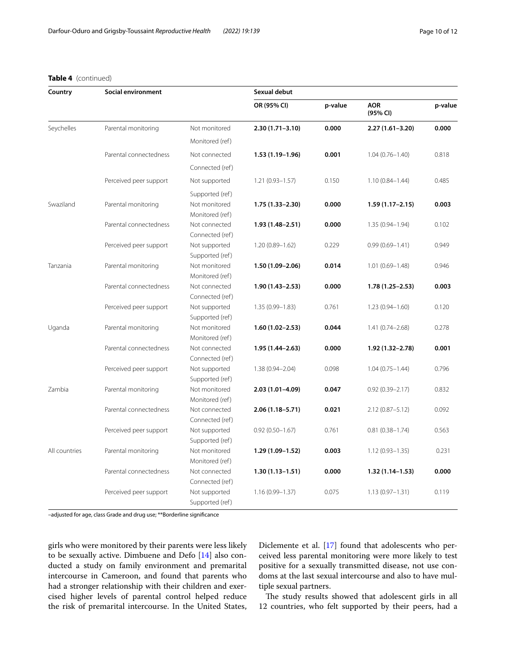# **Table 4** (continued)

| Country       | Social environment     |                 | Sexual debut        |         |                        |         |  |
|---------------|------------------------|-----------------|---------------------|---------|------------------------|---------|--|
|               |                        |                 | OR (95% CI)         | p-value | <b>AOR</b><br>(95% CI) | p-value |  |
| Seychelles    | Parental monitoring    | Not monitored   | $2.30(1.71 - 3.10)$ | 0.000   | $2.27(1.61 - 3.20)$    | 0.000   |  |
|               |                        | Monitored (ref) |                     |         |                        |         |  |
|               | Parental connectedness | Not connected   | $1.53(1.19-1.96)$   | 0.001   | $1.04(0.76 - 1.40)$    | 0.818   |  |
|               |                        | Connected (ref) |                     |         |                        |         |  |
|               | Perceived peer support | Not supported   | $1.21(0.93 - 1.57)$ | 0.150   | $1.10(0.84 - 1.44)$    | 0.485   |  |
|               |                        | Supported (ref) |                     |         |                        |         |  |
| Swaziland     | Parental monitoring    | Not monitored   | $1.75(1.33 - 2.30)$ | 0.000   | $1.59(1.17 - 2.15)$    | 0.003   |  |
|               |                        | Monitored (ref) |                     |         |                        |         |  |
|               | Parental connectedness | Not connected   | $1.93(1.48 - 2.51)$ | 0.000   | 1.35 (0.94-1.94)       | 0.102   |  |
|               |                        | Connected (ref) |                     |         |                        |         |  |
|               | Perceived peer support | Not supported   | $1.20(0.89 - 1.62)$ | 0.229   | $0.99(0.69 - 1.41)$    | 0.949   |  |
|               |                        | Supported (ref) |                     |         |                        |         |  |
| Tanzania      | Parental monitoring    | Not monitored   | $1.50(1.09 - 2.06)$ | 0.014   | $1.01(0.69 - 1.48)$    | 0.946   |  |
|               |                        | Monitored (ref) |                     |         |                        |         |  |
|               | Parental connectedness | Not connected   | $1.90(1.43 - 2.53)$ | 0.000   | $1.78(1.25 - 2.53)$    | 0.003   |  |
|               |                        | Connected (ref) |                     |         |                        |         |  |
|               | Perceived peer support | Not supported   | $1.35(0.99 - 1.83)$ | 0.761   | $1.23(0.94 - 1.60)$    | 0.120   |  |
|               |                        | Supported (ref) |                     |         |                        |         |  |
| Uganda        | Parental monitoring    | Not monitored   | $1.60(1.02 - 2.53)$ | 0.044   | $1.41(0.74 - 2.68)$    | 0.278   |  |
|               |                        | Monitored (ref) |                     |         |                        |         |  |
|               | Parental connectedness | Not connected   | $1.95(1.44 - 2.63)$ | 0.000   | 1.92 (1.32-2.78)       | 0.001   |  |
|               |                        | Connected (ref) |                     |         |                        |         |  |
|               | Perceived peer support | Not supported   | $1.38(0.94 - 2.04)$ | 0.098   | $1.04(0.75 - 1.44)$    | 0.796   |  |
|               |                        | Supported (ref) |                     |         |                        |         |  |
| Zambia        | Parental monitoring    | Not monitored   | $2.03(1.01 - 4.09)$ | 0.047   | $0.92(0.39 - 2.17)$    | 0.832   |  |
|               |                        | Monitored (ref) |                     |         |                        |         |  |
|               | Parental connectedness | Not connected   | $2.06(1.18 - 5.71)$ | 0.021   | $2.12(0.87 - 5.12)$    | 0.092   |  |
|               |                        | Connected (ref) |                     |         |                        |         |  |
|               | Perceived peer support | Not supported   | $0.92(0.50 - 1.67)$ | 0.761   | $0.81(0.38 - 1.74)$    | 0.563   |  |
|               |                        | Supported (ref) |                     |         |                        |         |  |
| All countries | Parental monitoring    | Not monitored   | $1.29(1.09 - 1.52)$ | 0.003   | $1.12(0.93 - 1.35)$    | 0.231   |  |
|               |                        | Monitored (ref) |                     |         |                        |         |  |
|               | Parental connectedness | Not connected   | $1.30(1.13 - 1.51)$ | 0.000   | $1.32(1.14 - 1.53)$    | 0.000   |  |
|               |                        | Connected (ref) |                     |         |                        |         |  |
|               | Perceived peer support | Not supported   | $1.16(0.99 - 1.37)$ | 0.075   | $1.13(0.97 - 1.31)$    | 0.119   |  |
|               |                        | Supported (ref) |                     |         |                        |         |  |

–adjusted for age, class Grade and drug use; \*\*Borderline signifcance

girls who were monitored by their parents were less likely to be sexually active. Dimbuene and Defo [[14](#page-11-12)] also conducted a study on family environment and premarital intercourse in Cameroon, and found that parents who had a stronger relationship with their children and exercised higher levels of parental control helped reduce the risk of premarital intercourse. In the United States, Diclemente et al. [[17\]](#page-11-15) found that adolescents who perceived less parental monitoring were more likely to test positive for a sexually transmitted disease, not use condoms at the last sexual intercourse and also to have multiple sexual partners.

The study results showed that adolescent girls in all 12 countries, who felt supported by their peers, had a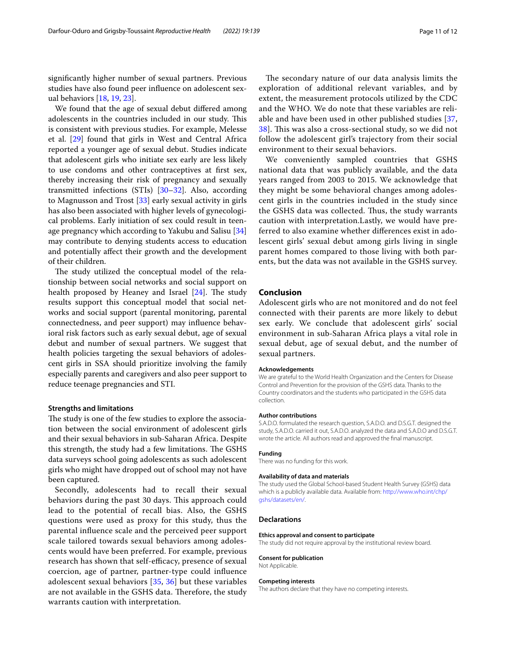signifcantly higher number of sexual partners. Previous studies have also found peer infuence on adolescent sexual behaviors [\[18](#page-11-16), [19](#page-11-17), [23\]](#page-11-20).

We found that the age of sexual debut difered among adolescents in the countries included in our study. This is consistent with previous studies. For example, Melesse et al. [\[29](#page-11-26)] found that girls in West and Central Africa reported a younger age of sexual debut. Studies indicate that adolescent girls who initiate sex early are less likely to use condoms and other contraceptives at frst sex, thereby increasing their risk of pregnancy and sexually transmitted infections (STIs) [\[30](#page-11-27)[–32](#page-11-28)]. Also, according to Magnusson and Trost [[33](#page-11-29)] early sexual activity in girls has also been associated with higher levels of gynecological problems. Early initiation of sex could result in teen-age pregnancy which according to Yakubu and Salisu [[34](#page-11-30)] may contribute to denying students access to education and potentially afect their growth and the development of their children.

The study utilized the conceptual model of the relationship between social networks and social support on health proposed by Heaney and Israel  $[24]$  $[24]$ . The study results support this conceptual model that social networks and social support (parental monitoring, parental connectedness, and peer support) may infuence behavioral risk factors such as early sexual debut, age of sexual debut and number of sexual partners. We suggest that health policies targeting the sexual behaviors of adolescent girls in SSA should prioritize involving the family especially parents and caregivers and also peer support to reduce teenage pregnancies and STI.

# **Strengths and limitations**

The study is one of the few studies to explore the association between the social environment of adolescent girls and their sexual behaviors in sub-Saharan Africa. Despite this strength, the study had a few limitations. The GSHS data surveys school going adolescents as such adolescent girls who might have dropped out of school may not have been captured.

Secondly, adolescents had to recall their sexual behaviors during the past 30 days. This approach could lead to the potential of recall bias. Also, the GSHS questions were used as proxy for this study, thus the parental infuence scale and the perceived peer support scale tailored towards sexual behaviors among adolescents would have been preferred. For example, previous research has shown that self-efficacy, presence of sexual coercion, age of partner, partner-type could infuence adolescent sexual behaviors [[35](#page-11-31), [36](#page-11-32)] but these variables are not available in the GSHS data. Therefore, the study warrants caution with interpretation.

The secondary nature of our data analysis limits the exploration of additional relevant variables, and by extent, the measurement protocols utilized by the CDC and the WHO. We do note that these variables are reliable and have been used in other published studies [\[37](#page-11-33), [38\]](#page-11-34). This was also a cross-sectional study, so we did not follow the adolescent girl's trajectory from their social environment to their sexual behaviors.

We conveniently sampled countries that GSHS national data that was publicly available, and the data years ranged from 2003 to 2015. We acknowledge that they might be some behavioral changes among adolescent girls in the countries included in the study since the GSHS data was collected. Thus, the study warrants caution with interpretation.Lastly, we would have preferred to also examine whether diferences exist in adolescent girls' sexual debut among girls living in single parent homes compared to those living with both parents, but the data was not available in the GSHS survey.

## **Conclusion**

Adolescent girls who are not monitored and do not feel connected with their parents are more likely to debut sex early. We conclude that adolescent girls' social environment in sub-Saharan Africa plays a vital role in sexual debut, age of sexual debut, and the number of sexual partners.

#### **Acknowledgements**

We are grateful to the World Health Organization and the Centers for Disease Control and Prevention for the provision of the GSHS data. Thanks to the Country coordinators and the students who participated in the GSHS data collection.

#### **Author contributions**

S.A.D.O. formulated the research question, S.A.D.O. and D.S.G.T. designed the study, S.A.D.O. carried it out, S.A.D.O. analyzed the data and S.A.D.O and D.S.G.T. wrote the article. All authors read and approved the fnal manuscript.

#### **Funding**

There was no funding for this work.

#### **Availability of data and materials**

The study used the Global School-based Student Health Survey (GSHS) data which is a publicly available data. Available from: [http://www.who.int/chp/](http://www.who.int/chp/gshs/datasets/en/) [gshs/datasets/en/.](http://www.who.int/chp/gshs/datasets/en/)

#### **Declarations**

#### **Ethics approval and consent to participate**

The study did not require approval by the institutional review board.

#### **Consent for publication**

Not Applicable.

#### **Competing interests**

The authors declare that they have no competing interests.